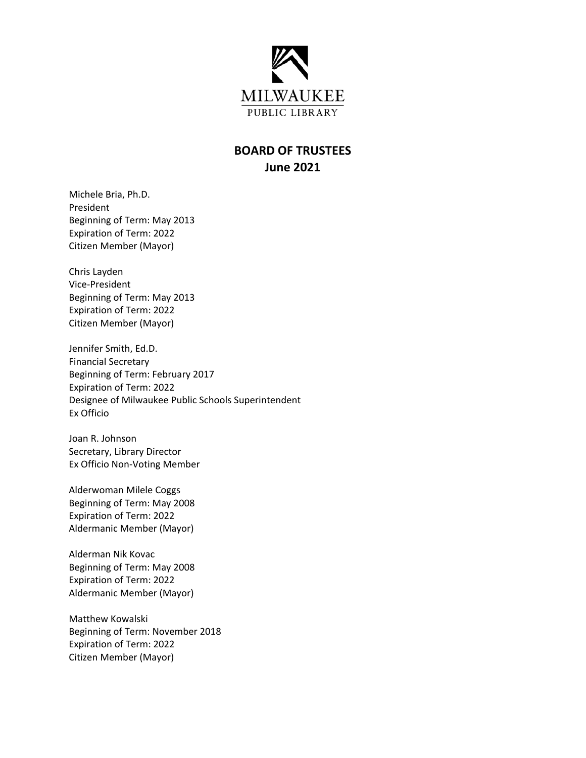

## **BOARD OF TRUSTEES June 2021**

Michele Bria, Ph.D. President Beginning of Term: May 2013 Expiration of Term: 2022 Citizen Member (Mayor)

Chris Layden Vice‐President Beginning of Term: May 2013 Expiration of Term: 2022 Citizen Member (Mayor)

Jennifer Smith, Ed.D. Financial Secretary Beginning of Term: February 2017 Expiration of Term: 2022 Designee of Milwaukee Public Schools Superintendent Ex Officio

Joan R. Johnson Secretary, Library Director Ex Officio Non‐Voting Member

Alderwoman Milele Coggs Beginning of Term: May 2008 Expiration of Term: 2022 Aldermanic Member (Mayor)

Alderman Nik Kovac Beginning of Term: May 2008 Expiration of Term: 2022 Aldermanic Member (Mayor)

Matthew Kowalski Beginning of Term: November 2018 Expiration of Term: 2022 Citizen Member (Mayor)